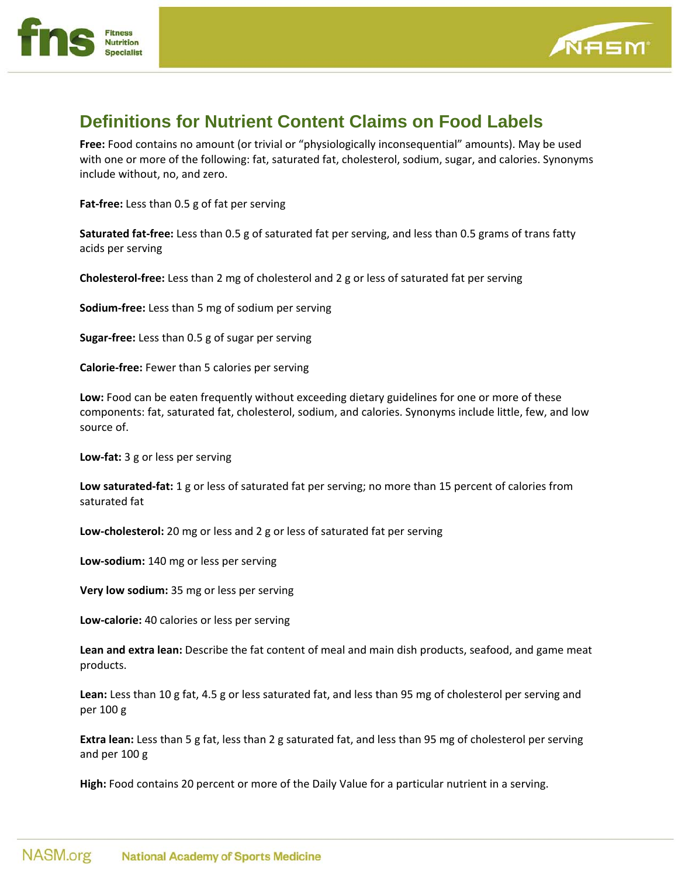



## **Definitions for Nutrient Content Claims on Food Labels**

**Free:** Food contains no amount (or trivial or "physiologically inconsequential" amounts). May be used with one or more of the following: fat, saturated fat, cholesterol, sodium, sugar, and calories. Synonyms include without, no, and zero.

**Fat‐free:** Less than 0.5 g of fat per serving

**Saturated fat‐free:** Less than 0.5 g of saturated fat per serving, and less than 0.5 grams of trans fatty acids per serving

**Cholesterol‐free:** Less than 2 mg of cholesterol and 2 g or less of saturated fat per serving

**Sodium‐free:** Less than 5 mg of sodium per serving

**Sugar‐free:** Less than 0.5 g of sugar per serving

**Calorie‐free:** Fewer than 5 calories per serving

**Low:** Food can be eaten frequently without exceeding dietary guidelines for one or more of these components: fat, saturated fat, cholesterol, sodium, and calories. Synonyms include little, few, and low source of.

**Low‐fat:** 3 g or less per serving

**Low saturated‐fat:** 1 g or less of saturated fat per serving; no more than 15 percent of calories from saturated fat

**Low‐cholesterol:** 20 mg or less and 2 g or less of saturated fat per serving

**Low‐sodium:** 140 mg or less per serving

**Very low sodium:** 35 mg or less per serving

**Low‐calorie:** 40 calories or less per serving

**Lean and extra lean:** Describe the fat content of meal and main dish products, seafood, and game meat products.

**Lean:** Less than 10 g fat, 4.5 g or less saturated fat, and less than 95 mg of cholesterol per serving and per 100 g

**Extra lean:** Less than 5 g fat, less than 2 g saturated fat, and less than 95 mg of cholesterol per serving and per 100 g

**High:** Food contains 20 percent or more of the Daily Value for a particular nutrient in a serving.